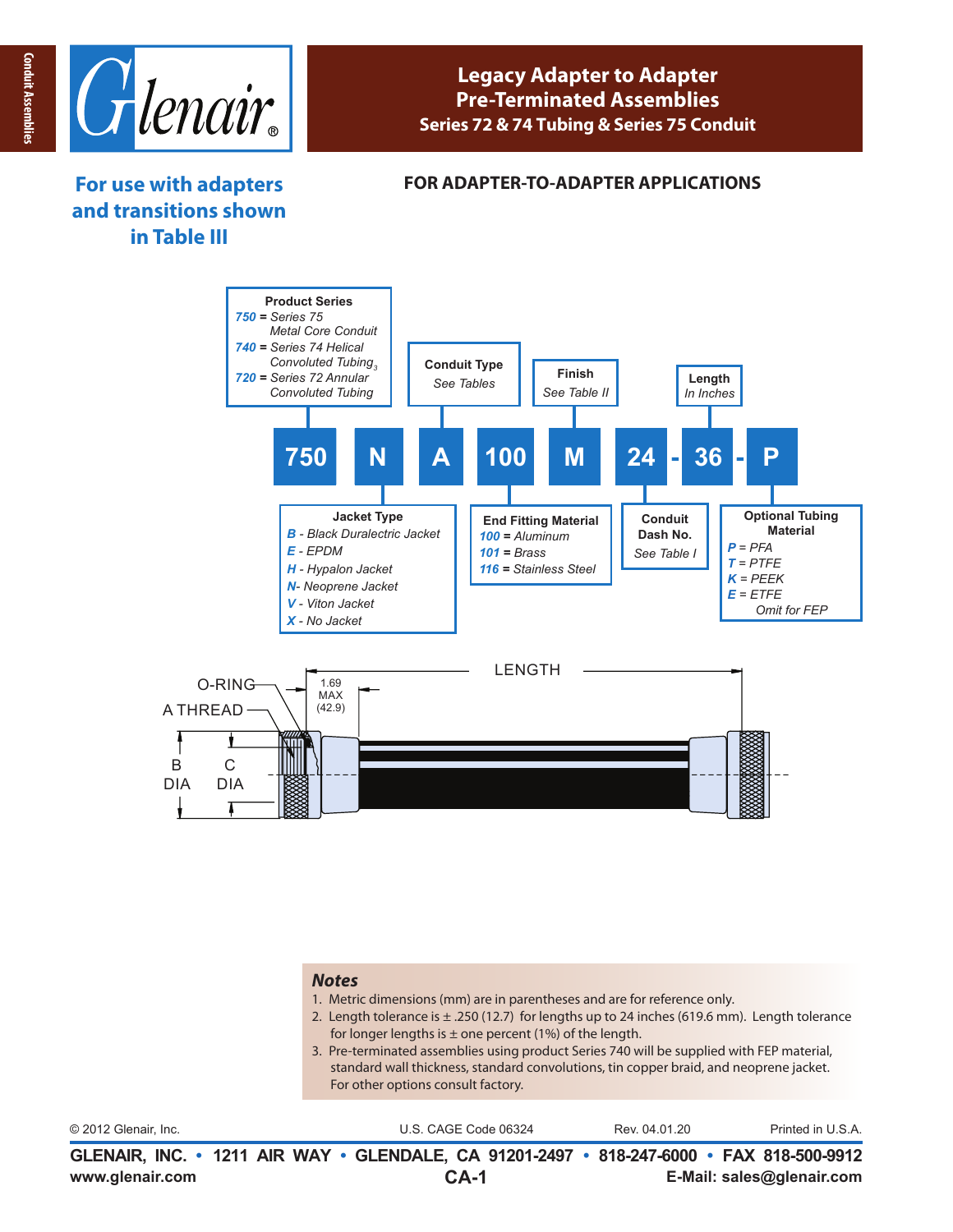

## **Legacy Adapter to Adapter Pre-Terminated Assemblies Series 72 & 74 Tubing & Series 75 Conduit**

# **For use with adapters and transitions shown in Table III**

#### **FOR ADAPTER-TO-ADAPTER APPLICATIONS**



#### *Notes*

- 1. Metric dimensions (mm) are in parentheses and are for reference only.
- 2. Length tolerance is  $\pm$  .250 (12.7) for lengths up to 24 inches (619.6 mm). Length tolerance for longer lengths is  $\pm$  one percent (1%) of the length.
- 3. Pre-terminated assemblies using product Series 740 will be supplied with FEP material, standard wall thickness, standard convolutions, tin copper braid, and neoprene jacket. For other options consult factory.

| www.glenair.com      | GLENAIR, INC. • 1211 AIR WAY • GLENDALE, CA 91201-2497 • 818-247-6000 • FAX 818-500-9912<br>$CA-1$ | E-Mail: sales@glenair.com          |  |
|----------------------|----------------------------------------------------------------------------------------------------|------------------------------------|--|
| © 2012 Glenair. Inc. | U.S. CAGE Code 06324                                                                               | Printed in U.S.A.<br>Rev. 04.01.20 |  |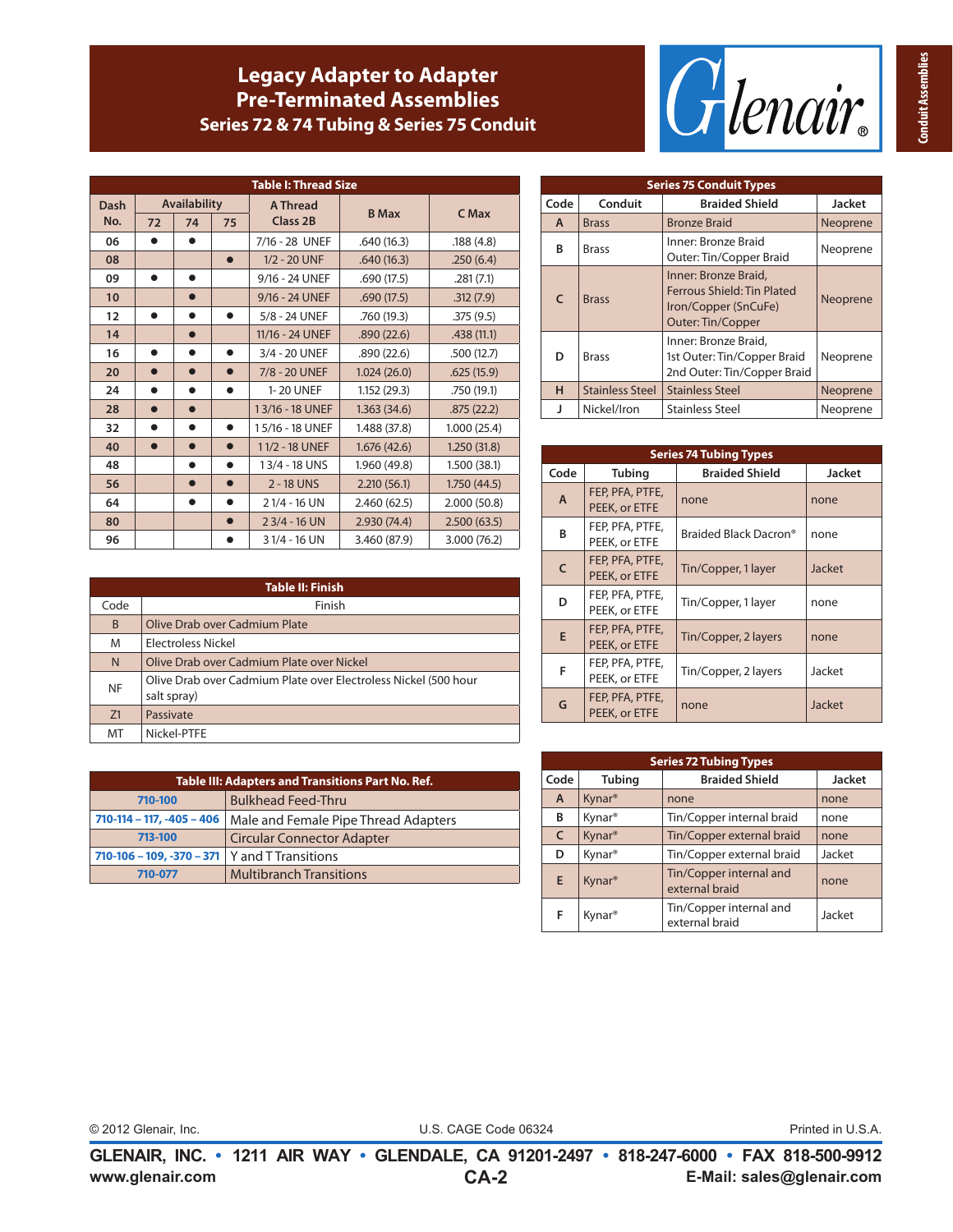# **Legacy Adapter to Adapter Pre-Terminated Assemblies Series 72 & 74 Tubing & Series 75 Conduit**



| <b>Table I: Thread Size</b> |           |                     |           |                 |              |              |
|-----------------------------|-----------|---------------------|-----------|-----------------|--------------|--------------|
| <b>Dash</b>                 |           | <b>Availability</b> |           | <b>A Thread</b> | <b>B</b> Max | C Max        |
| No.                         | 72        | 74                  | 75        | Class 2B        |              |              |
| 06                          |           |                     |           | 7/16 - 28 UNEF  | .640(16.3)   | .188(4.8)    |
| 08                          |           |                     | $\bullet$ | 1/2 - 20 UNF    | .640(16.3)   | .250(6.4)    |
| 09                          |           | $\bullet$           |           | 9/16 - 24 UNEF  | .690(17.5)   | .281(7.1)    |
| 10                          |           | 0                   |           | 9/16 - 24 UNEF  | .690(17.5)   | .312(7.9)    |
| 12                          |           | $\bullet$           |           | 5/8 - 24 UNEF   | .760 (19.3)  | .375(9.5)    |
| 14                          |           | $\bullet$           |           | 11/16 - 24 UNEF | .890(22.6)   | .438(11.1)   |
| 16                          |           |                     |           | 3/4 - 20 UNEF   | .890(22.6)   | .500(12.7)   |
| 20                          |           | $\bullet$           |           | 7/8 - 20 UNEF   | 1.024(26.0)  | .625(15.9)   |
| 24                          | $\bullet$ | $\bullet$           |           | 1-20 UNEF       | 1.152(29.3)  | .750 (19.1)  |
| 28                          | $\bullet$ | $\bullet$           |           | 13/16 - 18 UNEF | 1.363(34.6)  | .875(22.2)   |
| 32                          |           | ●                   |           | 15/16 - 18 UNEF | 1.488 (37.8) | 1.000(25.4)  |
| 40                          |           | $\bullet$           |           | 11/2 - 18 UNEF  | 1.676(42.6)  | 1.250(31.8)  |
| 48                          |           | $\bullet$           |           | 13/4 - 18 UNS   | 1.960 (49.8) | 1.500(38.1)  |
| 56                          |           | n                   |           | 2 - 18 UNS      | 2.210(56.1)  | 1.750(44.5)  |
| 64                          |           |                     |           | 21/4 - 16 UN    | 2.460(62.5)  | 2.000 (50.8) |
| 80                          |           |                     |           | 23/4 - 16 UN    | 2.930 (74.4) | 2.500(63.5)  |
| 96                          |           |                     |           | 3 1/4 - 16 UN   | 3.460 (87.9) | 3.000 (76.2) |

|            | <b>Series 75 Conduit Types</b> |                                                                                                 |               |  |  |  |  |  |
|------------|--------------------------------|-------------------------------------------------------------------------------------------------|---------------|--|--|--|--|--|
| Code       | Conduit                        | <b>Braided Shield</b>                                                                           | <b>Jacket</b> |  |  |  |  |  |
| A          | <b>Brass</b>                   | <b>Bronze Braid</b>                                                                             | Neoprene      |  |  |  |  |  |
| B          | <b>Brass</b>                   | Inner: Bronze Braid<br>Outer: Tin/Copper Braid                                                  | Neoprene      |  |  |  |  |  |
| $\epsilon$ | <b>Brass</b>                   | Inner: Bronze Braid,<br>Ferrous Shield: Tin Plated<br>Iron/Copper (SnCuFe)<br>Outer: Tin/Copper | Neoprene      |  |  |  |  |  |
| D          | <b>Brass</b>                   | Inner: Bronze Braid,<br>1st Outer: Tin/Copper Braid<br>2nd Outer: Tin/Copper Braid              | Neoprene      |  |  |  |  |  |
| н          | Stainless Steel                | <b>Stainless Steel</b>                                                                          | Neoprene      |  |  |  |  |  |
|            | Nickel/Iron                    | <b>Stainless Steel</b>                                                                          | Neoprene      |  |  |  |  |  |

|              | <b>Series 74 Tubing Types</b>    |                                   |        |  |  |  |  |  |
|--------------|----------------------------------|-----------------------------------|--------|--|--|--|--|--|
| Code         | <b>Tubing</b>                    | <b>Braided Shield</b>             | Jacket |  |  |  |  |  |
| A            | FEP, PFA, PTFE,<br>PEEK, or ETFE | none                              | none   |  |  |  |  |  |
| B            | FEP, PFA, PTFE,<br>PEEK, or ETFE | Braided Black Dacron <sup>®</sup> | none   |  |  |  |  |  |
| $\mathsf{C}$ | FEP, PFA, PTFE,<br>PEEK, or ETFE | Tin/Copper, 1 layer               | Jacket |  |  |  |  |  |
| D            | FEP, PFA, PTFE,<br>PEEK, or ETFE | Tin/Copper, 1 layer               | none   |  |  |  |  |  |
| E            | FEP, PFA, PTFE,<br>PEEK, or ETFE | Tin/Copper, 2 layers              | none   |  |  |  |  |  |
| F            | FEP, PFA, PTFE,<br>PEEK, or ETFE | Tin/Copper, 2 layers              | Jacket |  |  |  |  |  |
| G            | FEP, PFA, PTFE,<br>PEEK, or ETFE | none                              | Jacket |  |  |  |  |  |

|           | <b>Table II: Finish</b>                                                        |  |  |  |  |  |  |
|-----------|--------------------------------------------------------------------------------|--|--|--|--|--|--|
| Code      | Finish                                                                         |  |  |  |  |  |  |
| B         | Olive Drab over Cadmium Plate                                                  |  |  |  |  |  |  |
| M         | Electroless Nickel                                                             |  |  |  |  |  |  |
| N         | Olive Drab over Cadmium Plate over Nickel                                      |  |  |  |  |  |  |
| <b>NF</b> | Olive Drab over Cadmium Plate over Electroless Nickel (500 hour<br>salt spray) |  |  |  |  |  |  |
| Z1        | Passivate                                                                      |  |  |  |  |  |  |
| MT        | Nickel-PTFE                                                                    |  |  |  |  |  |  |

| Table III: Adapters and Transitions Part No. Ref. |                                                                  |  |  |  |  |
|---------------------------------------------------|------------------------------------------------------------------|--|--|--|--|
| 710-100                                           | <b>Bulkhead Feed-Thru</b>                                        |  |  |  |  |
|                                                   | 710-114 – 117, -405 – 406   Male and Female Pipe Thread Adapters |  |  |  |  |
| <b>Circular Connector Adapter</b><br>713-100      |                                                                  |  |  |  |  |
| 710-106 - 109, -370 - 371   Y and T Transitions   |                                                                  |  |  |  |  |
| 710-077                                           | <b>Multibranch Transitions</b>                                   |  |  |  |  |

| <b>Series 72 Tubing Types</b> |                    |                                           |               |  |  |  |
|-------------------------------|--------------------|-------------------------------------------|---------------|--|--|--|
| Code                          | <b>Tubing</b>      | <b>Braided Shield</b>                     | <b>Jacket</b> |  |  |  |
| A                             | Kynar <sup>®</sup> | none                                      | none          |  |  |  |
| В                             | Kynar <sup>®</sup> | Tin/Copper internal braid                 | none          |  |  |  |
| $\mathsf{C}$                  | Kynar <sup>®</sup> | Tin/Copper external braid                 | none          |  |  |  |
| D                             | Kynar <sup>®</sup> | Tin/Copper external braid                 | Jacket        |  |  |  |
| E                             | Kynar <sup>®</sup> | Tin/Copper internal and<br>external braid | none          |  |  |  |
| F                             | Kynar <sup>®</sup> | Tin/Copper internal and<br>external braid | Jacket        |  |  |  |

|  |  |  | 12 Glenair, Inc. |
|--|--|--|------------------|

© 2012 Glenair, Inc. U.S. CAGE Code 06324 Printed in U.S.A.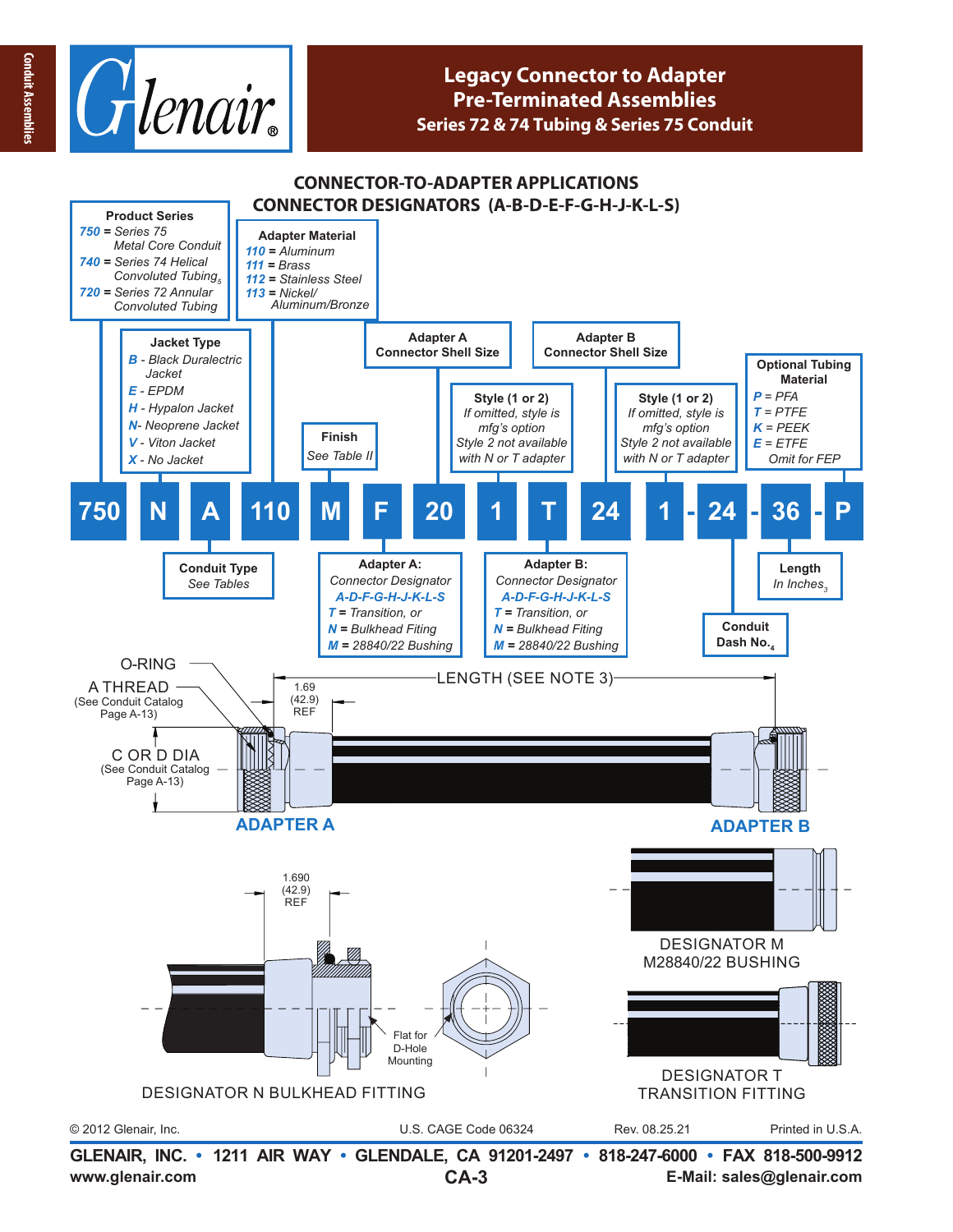

## **Legacy Connector to Adapter Pre-Terminated Assemblies Series 72 & 74 Tubing & Series 75 Conduit**

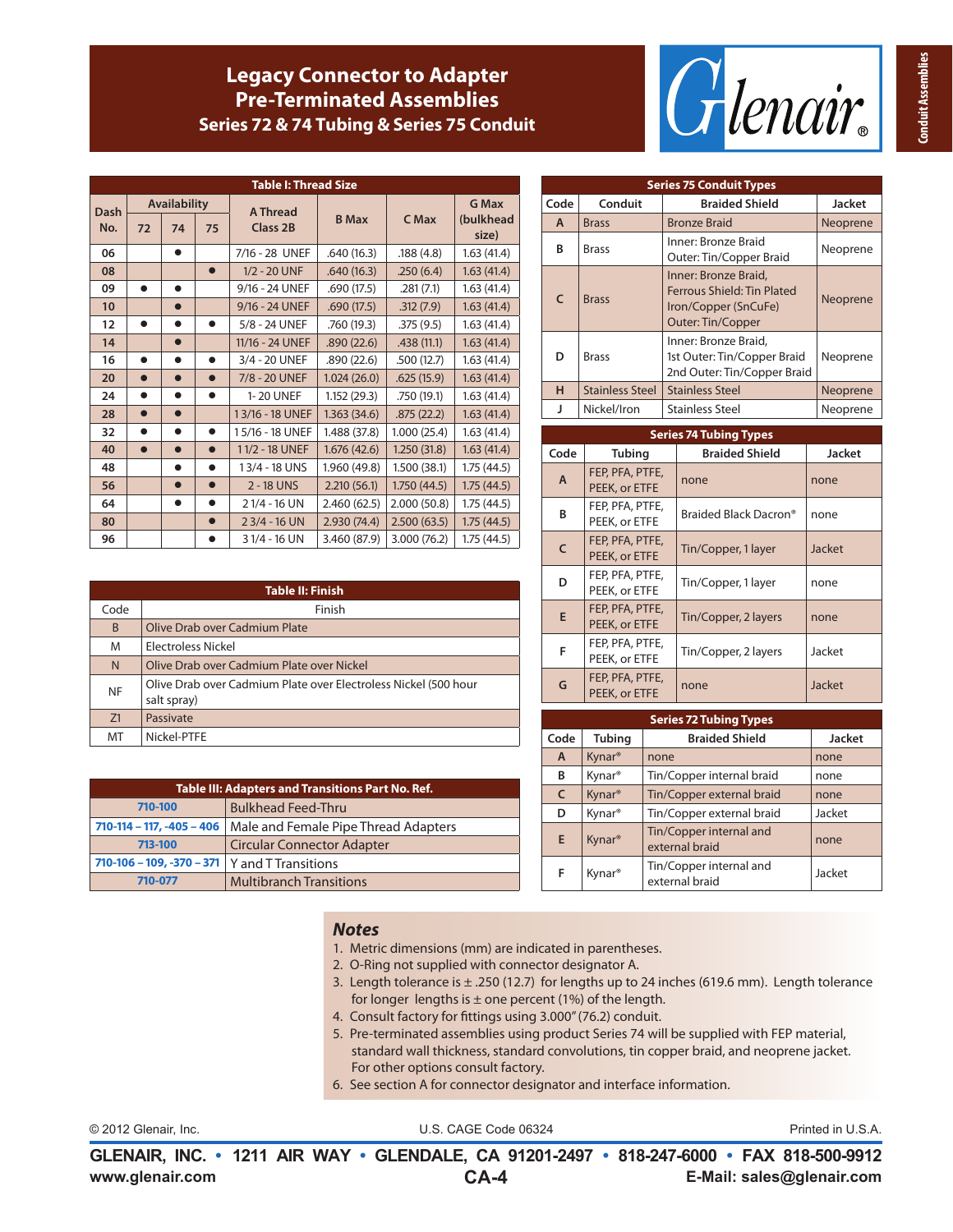# **Legacy Connector to Adapter Pre-Terminated Assemblies Series 72 & 74 Tubing & Series 75 Conduit**



| <b>Table I: Thread Size</b> |           |                     |           |                 |              |              |                    |
|-----------------------------|-----------|---------------------|-----------|-----------------|--------------|--------------|--------------------|
| Dash                        |           | <b>Availability</b> |           | A Thread        |              |              | <b>G Max</b>       |
| No.                         | 72        | 74                  | 75        | <b>Class 2B</b> | <b>B</b> Max | C Max        | (bulkhead<br>size) |
| 06                          |           | $\bullet$           |           | 7/16 - 28 UNEF  | .640(16.3)   | .188(4.8)    | 1.63(41.4)         |
| 08                          |           |                     |           | 1/2 - 20 UNF    | .640(16.3)   | .250(6.4)    | 1.63(41.4)         |
| 09                          | $\bullet$ | $\bullet$           |           | 9/16 - 24 UNEF  | .690 (17.5)  | .281(7.1)    | 1.63(41.4)         |
| 10                          |           |                     |           | 9/16 - 24 UNEF  | .690(17.5)   | .312(7.9)    | 1.63(41.4)         |
| 12                          | $\bullet$ |                     |           | 5/8 - 24 UNEF   | .760 (19.3)  | .375(9.5)    | 1.63(41.4)         |
| 14                          |           | $\bullet$           |           | 11/16 - 24 UNEF | .890(22.6)   | .438(11.1)   | 1.63(41.4)         |
| 16                          |           |                     |           | 3/4 - 20 UNEF   | .890 (22.6)  | .500(12.7)   | 1.63(41.4)         |
| 20                          | $\bullet$ | $\bullet$           |           | 7/8 - 20 UNEF   | 1.024(26.0)  | .625(15.9)   | 1.63(41.4)         |
| 24                          | $\bullet$ | ●                   |           | 1-20 UNEF       | 1.152 (29.3) | .750 (19.1)  | 1.63(41.4)         |
| 28                          | $\bullet$ | $\bullet$           |           | 13/16 - 18 UNEF | 1.363(34.6)  | .875(22.2)   | 1.63(41.4)         |
| 32                          | $\bullet$ | ●                   |           | 15/16 - 18 UNEF | 1.488 (37.8) | 1.000(25.4)  | 1.63(41.4)         |
| 40                          |           |                     |           | 11/2 - 18 UNEF  | 1.676(42.6)  | 1.250(31.8)  | 1.63(41.4)         |
| 48                          |           |                     |           | 13/4 - 18 UNS   | 1.960 (49.8) | 1.500(38.1)  | 1.75(44.5)         |
| 56                          |           | $\bullet$           | $\bullet$ | 2 - 18 UNS      | 2.210(56.1)  | 1.750(44.5)  | 1.75(44.5)         |
| 64                          |           | ●                   |           | 21/4 - 16 UN    | 2.460(62.5)  | 2.000 (50.8) | 1.75(44.5)         |
| 80                          |           |                     |           | $23/4 - 16$ UN  | 2.930(74.4)  | 2.500(63.5)  | 1.75(44.5)         |
| 96                          |           |                     |           | 31/4 - 16 UN    | 3.460 (87.9) | 3.000 (76.2) | 1.75(44.5)         |

|           | Table II: Finish                                                               |  |  |  |  |  |  |
|-----------|--------------------------------------------------------------------------------|--|--|--|--|--|--|
| Code      | Finish                                                                         |  |  |  |  |  |  |
| B         | Olive Drab over Cadmium Plate                                                  |  |  |  |  |  |  |
| M         | Electroless Nickel                                                             |  |  |  |  |  |  |
| N         | Olive Drab over Cadmium Plate over Nickel                                      |  |  |  |  |  |  |
| <b>NF</b> | Olive Drab over Cadmium Plate over Electroless Nickel (500 hour<br>salt spray) |  |  |  |  |  |  |
| Z1        | Passivate                                                                      |  |  |  |  |  |  |
| MT        | Nickel-PTFE                                                                    |  |  |  |  |  |  |

| Table III: Adapters and Transitions Part No. Ref. |                                      |  |  |  |  |
|---------------------------------------------------|--------------------------------------|--|--|--|--|
| 710-100                                           | <b>Bulkhead Feed-Thru</b>            |  |  |  |  |
| $710-114 - 117, -405 - 406$                       | Male and Female Pipe Thread Adapters |  |  |  |  |
| <b>Circular Connector Adapter</b><br>713-100      |                                      |  |  |  |  |
| $710-106 - 109, -370 - 371$                       | Y and T Transitions                  |  |  |  |  |
| 710-077                                           | <b>Multibranch Transitions</b>       |  |  |  |  |

|              | <b>Series 75 Conduit Types</b> |                                                                                                 |          |  |  |  |  |  |
|--------------|--------------------------------|-------------------------------------------------------------------------------------------------|----------|--|--|--|--|--|
| Code         | Conduit                        | <b>Braided Shield</b>                                                                           | Jacket   |  |  |  |  |  |
| A            | <b>Brass</b>                   | <b>Bronze Braid</b>                                                                             | Neoprene |  |  |  |  |  |
| B            | <b>Brass</b>                   | Inner: Bronze Braid<br>Outer: Tin/Copper Braid                                                  | Neoprene |  |  |  |  |  |
| $\mathsf{C}$ | <b>Brass</b>                   | Inner: Bronze Braid,<br>Ferrous Shield: Tin Plated<br>Iron/Copper (SnCuFe)<br>Outer: Tin/Copper | Neoprene |  |  |  |  |  |
| D            | <b>Brass</b>                   | Inner: Bronze Braid,<br>1st Outer: Tin/Copper Braid<br>2nd Outer: Tin/Copper Braid              | Neoprene |  |  |  |  |  |
| н            | <b>Stainless Steel</b>         | <b>Stainless Steel</b>                                                                          | Neoprene |  |  |  |  |  |
| J            | Nickel/Iron                    | <b>Stainless Steel</b>                                                                          | Neoprene |  |  |  |  |  |
|              | <b>Series 74 Tubing Types</b>  |                                                                                                 |          |  |  |  |  |  |

| aciica immuniy iyota |                                  |                       |               |
|----------------------|----------------------------------|-----------------------|---------------|
| Code                 | <b>Tubing</b>                    | <b>Braided Shield</b> | <b>Jacket</b> |
| $\mathsf{A}$         | FEP, PFA, PTFE,<br>PEEK, or ETFE | none                  | none          |
| B                    | FEP, PFA, PTFE,<br>PEEK, or ETFE | Braided Black Dacron® | none          |
| C                    | FEP, PFA, PTFE,<br>PEEK, or ETFE | Tin/Copper, 1 layer   | Jacket        |
| D                    | FEP, PFA, PTFE,<br>PEEK, or ETFE | Tin/Copper, 1 layer   | none          |
| E                    | FEP, PFA, PTFE,<br>PEEK, or ETFE | Tin/Copper, 2 layers  | none          |
| F                    | FEP, PFA, PTFE,<br>PEEK, or ETFE | Tin/Copper, 2 layers  | Jacket        |
| G                    | FEP, PFA, PTFE,<br>PEEK, or ETFE | none                  | Jacket        |

| <b>Series 72 Tubing Types</b> |                    |                                           |               |
|-------------------------------|--------------------|-------------------------------------------|---------------|
| Code                          | <b>Tubing</b>      | <b>Braided Shield</b>                     | <b>Jacket</b> |
| $\mathsf{A}$                  | Kynar <sup>®</sup> | none                                      | none          |
| В                             | Kynar <sup>®</sup> | Tin/Copper internal braid                 | none          |
| $\mathsf{C}$                  | Kynar <sup>®</sup> | Tin/Copper external braid                 | none          |
| D                             | Kynar <sup>®</sup> | Tin/Copper external braid                 | Jacket        |
| E.                            | Kynar <sup>®</sup> | Tin/Copper internal and<br>external braid | none          |
| F                             | Kynar <sup>®</sup> | Tin/Copper internal and<br>external braid | Jacket        |

#### *Notes*

- 1. Metric dimensions (mm) are indicated in parentheses.
- 2. O-Ring not supplied with connector designator A.
- 3. Length tolerance is  $\pm$  .250 (12.7) for lengths up to 24 inches (619.6 mm). Length tolerance for longer lengths is  $\pm$  one percent (1%) of the length.
- 4. Consult factory for fittings using 3.000" (76.2) conduit.
- 5. Pre-terminated assemblies using product Series 74 will be supplied with FEP material, standard wall thickness, standard convolutions, tin copper braid, and neoprene jacket. For other options consult factory.
- 6. See section A for connector designator and interface information.

© 2012 Glenair, Inc. U.S. CAGE Code 06324 Printed in U.S.A.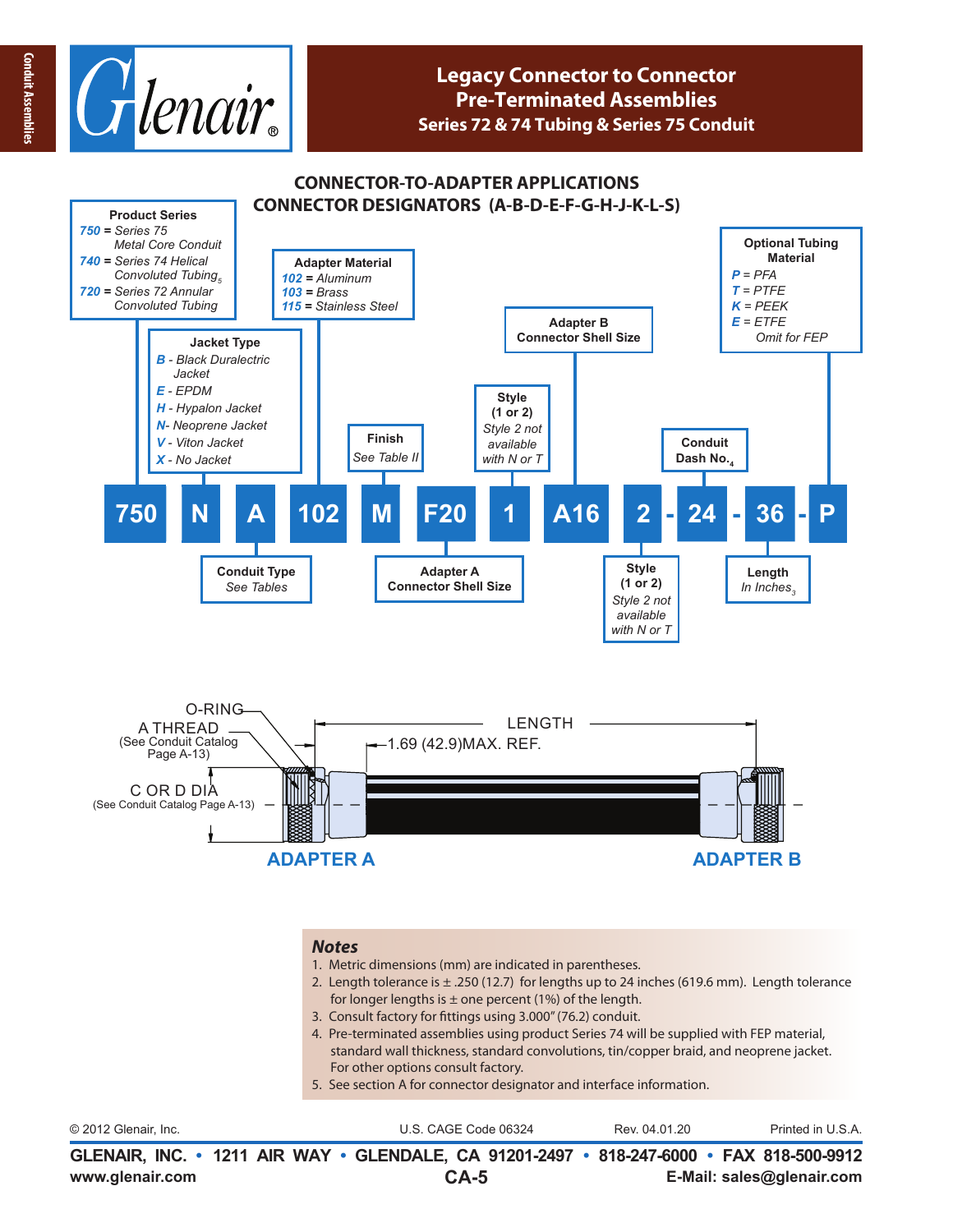

### **CONNECTOR-TO-ADAPTER APPLICATIONS CONNECTOR DESIGNATORS (A-B-D-E-F-G-H-J-K-L-S)**



#### *Notes*

- 1. Metric dimensions (mm) are indicated in parentheses.
- 2. Length tolerance is ± .250 (12.7) for lengths up to 24 inches (619.6 mm). Length tolerance for longer lengths is  $\pm$  one percent (1%) of the length.
- 3. Consult factory for fittings using 3.000" (76.2) conduit.
- 4. Pre-terminated assemblies using product Series 74 will be supplied with FEP material, standard wall thickness, standard convolutions, tin/copper braid, and neoprene jacket. For other options consult factory.
- 5. See section A for connector designator and interface information.

| © 2012 Glenair, Inc.                                                                                        | U.S. CAGE Code 06324 | Rev. 04.01.20 | Printed in U.S.A.         |
|-------------------------------------------------------------------------------------------------------------|----------------------|---------------|---------------------------|
| GLENAIR, INC. • 1211 AIR WAY • GLENDALE, CA 91201-2497 • 818-247-6000 • FAX 818-500-9912<br>www.glenair.com | $CA-5$               |               | E-Mail: sales@glenair.com |